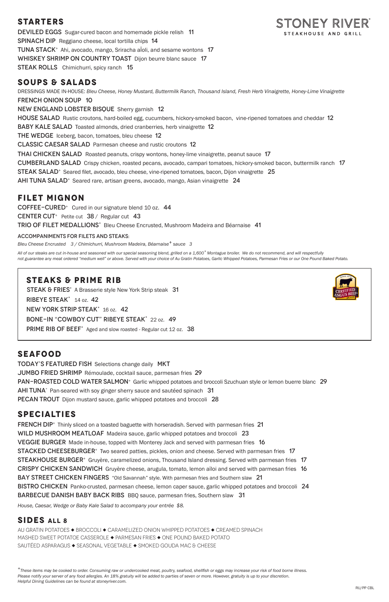## **STARTERS**

DEVILED EGGS Sugar-cured bacon and homemade pickle relish 11 Spinach DipReggiano cheese, local tortilla chips 14 TUNA STACK<sup>+</sup> Ahi, avocado, mango, Sriracha aloli, and sesame wontons 17 WHISKEY SHRIMP ON COUNTRY TOAST Dijon beurre blanc sauce 17 **STEAK ROLLS** Chimichurri, spicy ranch 15

DRESSINGS MADE IN-HOUSE: *Bleu Cheese, Honey Mustard, Buttermilk Ranch, Thousand Island, Fresh Herb Vinaigrette, Honey-Lime Vinaigrette* French Onion Soup10 New England Lobster BisqueSherry garnish 12 HOUSE SALAD Rustic croutons, hard-boiled egg, cucumbers, hickory-smoked bacon, vine-ripened tomatoes and cheddar 12 BABY KALE SALAD Toasted almonds, dried cranberries, herb vinaigrette 12 THE WEDGE Iceberg, bacon, tomatoes, bleu cheese 12 Classic Caesar SaladParmesan cheese and rustic croutons 12 THAI CHICKEN SALAD Roasted peanuts, crispy wontons, honey-lime vinaigrette, peanut sauce 17 CUMBERLAND SALAD Crispy chicken, roasted pecans, avocado, campari tomatoes, hickory-smoked bacon, buttermilk ranch 17 STEAK SALAD<sup>+</sup> Seared filet, avocado, bleu cheese, vine-ripened tomatoes, bacon, Dijon vinaigrette 25 AHI TUNA SALAD<sup>+</sup> Seared rare, artisan greens, avocado, mango, Asian vinaigrette 24

## **SOUPS & SALADS**

## **FILET MIGNON**

COFFEE-CURED<sup>+</sup> Cured in our signature blend 10 oz. 44 **CENTER CUT**<sup>+</sup> Petite cut **38** / Regular cut **43** TRIO OF FILET MEDALLIONS<sup>+</sup> Bleu Cheese Encrusted, Mushroom Madeira and Béarnaise 41

#### ACCOMPANIMENTS FOR FILETS AND STEAKS:

*Bleu Cheese Encrusted 3 / Chimichurri, Mushroom Madeira, Béarnaise+ sauce 3* 

**FRENCH DIP**<sup>+</sup> Thinly sliced on a toasted baguette with horseradish. Served with parmesan fries 21 WILD MUSHROOM MEATLOAF Madeira sauce, garlic whipped potatoes and broccoli 23 VEGGIE BURGERMade in-house, topped with Monterey Jack and served with parmesan fries 16 **STACKED CHEESEBURGER**<sup>+</sup> Two seared patties, pickles, onion and cheese. Served with parmesan fries 17 STEAKHOUSE BURGER<sup>+</sup> Gruyère, caramelized onions, Thousand Island dressing. Served with parmesan fries 17 CRISPY CHICKEN SANDWICH Gruyère cheese, arugula, tomato, lemon aïloi and served with parmesan fries 16 BAY STREET CHICKEN FINGERS "Old Savannah" style. With parmesan fries and Southern slaw 21 BISTRO CHICKEN Panko-crusted, parmesan cheese, lemon caper sauce, garlic whipped potatoes and broccoli 24 Barbecue Danish Baby Back RibsBBQ sauce, parmesan fries, Southern slaw 31



*All of our steaks are cut in-house and seasoned with our special seasoning blend, grilled on a 1,600° Montague broiler. We do not recommend, and will respectfully not guarantee any meat ordered "medium well" or above. Served with your choice of Au Gratin Potatoes, Garlic Whipped Potatoes, Parmesan Fries or our One Pound Baked Potato.*

## **SEAFOOD**

TODAY'S FEATURED FISH Selections change daily MKT JUMBO FRIED SHRIMP Rémoulade, cocktail sauce, parmesan fries 29 PAN-ROASTED COLD WATER SALMON<sup>+</sup> Garlic whipped potatoes and broccoli Szuchuan style or lemon buerre blanc 29  $AHI TUNA<sup>+</sup>$  Pan-seared with soy ginger sherry sauce and sautéed spinach 31 PECAN TROUT Dijon mustard sauce, garlic whipped potatoes and broccoli 28

## **SPECIALTIES**

*House, Caesar, Wedge or Baby Kale Salad to accompany your entrée \$8.*

### **SIDES ALL 8**

AU GRATIN POTATOES ◆ BROCCOLI ◆ CARAMELIZED ONION WHIPPED POTATOES ◆ CREAMED SPINACH MASHED SWEET POTATOE CASSEROLE ◆ PARMESAN FRIES ◆ ONE POUND BAKED POTATO SAUTÉED ASPARAGUS  $\blacklozenge$  SEASONAL VEGETABLE  $\blacklozenge$  SMOKED GOUDA MAC & CHEESE

*<sup>+</sup>These items may be cooked to order. Consuming raw or undercooked meat, poultry, seafood, shellfish or eggs may increase your risk of food borne illness. Please notify your server of any food allergies. An 18% gratuity will be added to parties of seven or more. However, gratuity is up to your discretion. Helpful Dining Guidelines can be found at stoneyriver.com.*



## **STEAKS & PRIME RIB**

STEAK & FRIES<sup>+</sup> A Brasserie style New York Strip steak 31 RIBEYE STEAK<sup>+</sup> 14 oz. 42 NEW YORK STRIP STEAK<sup>+</sup> 16 oz. 42 BONE-IN "COWBOY CUT" RIBEYE STEAK<sup>+</sup> 22 oz. 49

PRIME RIB OF BEEF<sup>+</sup> Aged and slow roasted - Regular cut 12 oz. 38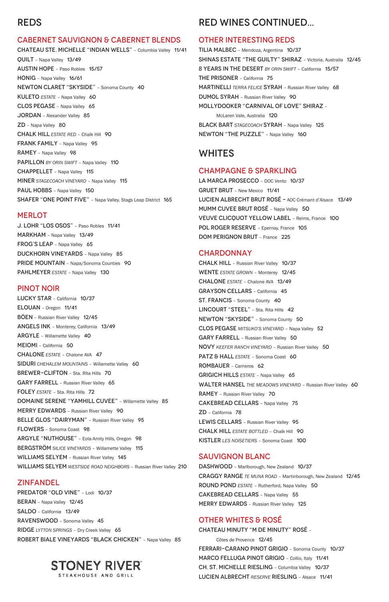## REDS

#### CABERNET SAUVIGNON & CABERNET BLENDS

CHATEAU STE. MICHELLE "INDIAN WELLS" – Columbia Valley 11/41 QUILT – Napa Valley 13/49 AUSTIN HOPE – Paso Robles 15/57 HONIG – Napa Valley 16/61 NEWTON CLARET "SKYSIDE" – Sonoma County 40 KULETO **ESTATE** - Napa Valley 60 CLOS PEGASE – Napa Valley 65 JORDAN – Alexander Valley 85 ZD – Napa Valley 80 CHALK HILL *ESTATE RED* – Chalk Hill 90 FRANK FAMILY - Napa Valley 95 RAMEY - Napa Valley 98 PAPILLON *BY ORIN SWIFT* - Napa Valley 110 CHAPPELLET – Napa Valley 115 MINER *STAGECOACH VINEYARD* – Napa Valley 115 PAUL HOBBS - Napa Valley 150 SHAFER "ONE POINT FIVE" – Napa Valley, Stags Leap District 165

#### **MERLOT**

J. LOHR "LOS OSOS" – Paso Robles 11/41 MARKHAM – Napa Valley 13/49 FROG'S LEAP - Napa Valley 65 DUCKHORN VINEYARDS – Napa Valley 85 PRIDE MOUNTAIN – Napa/Sonoma Counties 90 PAHLMEYER *ESTATE* – Napa Valley 130

WILLIAMS SELYEM - Russian River Valley 145 WILLIAMS SELYEM *WESTSIDE ROAD NEIGHBORS* – Russian River Valley 210

#### PINOT NOIR

LUCKY STAR – California 10/37 ELOUAN – Oregon 11/41 BÖEN – Russian River Valley 12/45 ANGELS INK – Monterey, California 13/49 ARGYLE – Willamette Valley 40 MEIOMI – California 50 CHALONE *ESTATE* – Chalone AVA 47 SIDURI *CHEHALEM MOUNTAINS* – Willamette Valley 60 BREWER-CLIFTON – Sta. Rita Hills 70 GARY FARRELL – Russian River Valley 65 FOLEY *ESTATE* – Sta. Rita Hills 72 DOMAINE SERENE "YAMHILL CUVEE" – Willamette Valley 85 MERRY EDWARDS – Russian River Valley 90 BELLE GLOS "DAIRYMAN" - Russian River Valley 95 FLOWERS – Sonoma Coast 98 ARGYLE "NUTHOUSE" – Eola-Amity Hills, Oregon 98

LA MARCA PROSECCO - DOC Vento 10/37 GRUET BRUT – New Mexico 11/41 LUCIEN ALBRECHT BRUT ROSÉ – AOC Crémant d'Alsace 13/49 MUMM CUVEE BRUT ROSÉ - Napa Valley 50 VEUVE CLICQUOT YELLOW LABEL – Reims, France 100 POL ROGER RESERVE - Epernay, France 105 DOM PERIGNON BRUT – France 225

#### **CHARDONNAY**

BERGSTRÖM *SILICE VINEYARDS* – Willamette Valley 115

#### ZINFANDEL

PREDATOR "OLD VINE" - Lodi 10/37

BERAN – Napa Valley 12/45

SALDO – California 13/49

RAVENSWOOD – Sonoma Valley 45

RIDGE *LYTTON SPRINGS* – Dry Creek Valley 65

ROBERT BIALE VINEYARDS "BLACK CHICKEN" – Napa Valley 85

# **STONEY RIVER®**

STEAKHOUSE AND GRILL

DASHWOOD - Marlborough, New Zealand 10/37 CRAGGY RANGE *TE MUNA ROAD* – Martinborough, New Zealand 12/45 ROUND POND *ESTATE* – Rutherford, Napa Valley 50 CAKEBREAD CELLARS – Napa Valley 55 MERRY EDWARDS – Russian River Valley 125

## RED WINES CONTINUED...

#### OTHER INTERESTING REDS

TILIA MALBEC – Mendoza, Argentina 10/37 SHINAS ESTATE "THE GUILTY" SHIRAZ – Victoria, Australia 12/45 8 YEARS IN THE DESERT *BY ORIN SWIFT* – California 15/57 THE PRISONER – California 75 MARTINELLI *TERRA FELICE* SYRAH – Russian River Valley 68 DUMOL SYRAH – Russian River Valley 90 MOLLYDOOKER "CARNIVAL OF LOVE" SHIRAZ – McLaren Vale, Australia 120 BLACK BART *STAGECOACH* SYRAH – Napa Valley 125 NEWTON "THE PUZZLE" – Napa Valley 160

## WHITES

#### CHAMPAGNE & SPARKLING

CHALK HILL – Russian River Valley 10/37 WENTE *ESTATE GROWN* – Monterey 12/45 CHALONE *ESTATE* – Chalone AVA 13/49 GRAYSON CELLARS – California 45 ST. FRANCIS – Sonoma County 40 LINCOURT "STEEL" - Sta. Rita Hills 42 NEWTON "SKYSIDE" – Sonoma County 50 CLOS PEGASE *MITSUKO'S VINEYARD* – Napa Valley 52 GARY FARRELL – Russian River Valley 50 NOVY *KEEFER RANCH VINEYARD* – Russian River Valley 50 PATZ & HALL **ESTATE** - Sonoma Coast 60 ROMBAUER – Carneros 62 GRIGICH HILLS *ESTATE* – Napa Valley 65 WALTER HANSEL THE MEADOWS VINEYARD - Russian River Valley 60 RAMEY – Russian River Valley 70 CAKEBREAD CELLARS – Napa Valley 75 ZD – California 78 LEWIS CELLARS – Russian River Valley 95 CHALK HILL *ESTATE BOTTLED* – Chalk Hill 90 KISTLER *LES NOISETIERS* – Sonoma Coast 100

#### SAUVIGNON BLANC

## OTHER WHITES & ROSÉ

CHATEAU MINUTY "M DE MINUTY" ROSÉ –

Côtes de Provence 12/45 FERRARI-CARANO PINOT GRIGIO – Sonoma County 10/37 MARCO FELLUGA PINOT GRIGIO – Collio, Italy 11/41 CH. ST. MICHELLE RIESLING – Columbia Valley 10/37 LUCIEN ALBRECHT *RESERVE* RIESLING – Alsace 11/41